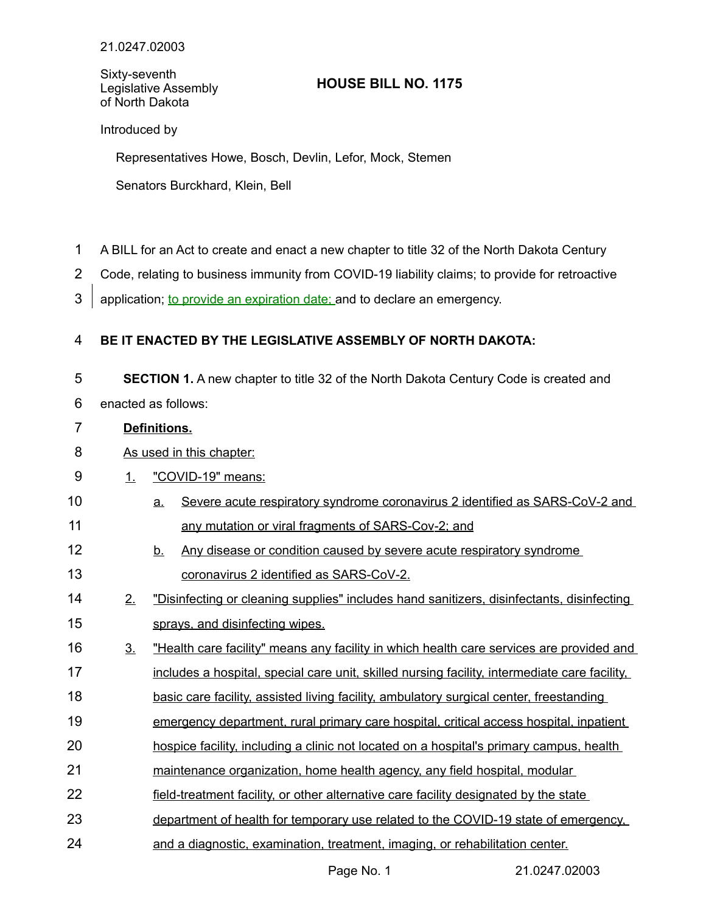Sixty-seventh Legislative Assembly of North Dakota

## **HOUSE BILL NO. 1175**

Introduced by

Representatives Howe, Bosch, Devlin, Lefor, Mock, Stemen

Senators Burckhard, Klein, Bell

- A BILL for an Act to create and enact a new chapter to title 32 of the North Dakota Century 1
- Code, relating to business immunity from COVID-19 liability claims; to provide for retroactive 2
- application; to provide an expiration date; and to declare an emergency. 3

## **BE IT ENACTED BY THE LEGISLATIVE ASSEMBLY OF NORTH DAKOTA:** 4

- **SECTION 1.** A new chapter to title 32 of the North Dakota Century Code is created and 5
- enacted as follows: 6
- **Definitions.** 7
- As used in this chapter: 8
- 1. "COVID-19" means: 9
- a. Severe acute respiratory syndrome coronavirus 2 identified as SARS-CoV-2 and any mutation or viral fragments of SARS-Cov-2; and 10 11
- b. Any disease or condition caused by severe acute respiratory syndrome coronavirus 2 identified as SARS-CoV-2. 12 13
- 2. "Disinfecting or cleaning supplies" includes hand sanitizers, disinfectants, disinfecting sprays, and disinfecting wipes. 14 15
- 3. "Health care facility" means any facility in which health care services are provided and includes a hospital, special care unit, skilled nursing facility, intermediate care facility, 16 17
- basic care facility, assisted living facility, ambulatory surgical center, freestanding 18
- emergency department, rural primary care hospital, critical access hospital, inpatient 19
- hospice facility, including a clinic not located on a hospital's primary campus, health 20
- maintenance organization, home health agency, any field hospital, modular 21
- field-treatment facility, or other alternative care facility designated by the state 22
- department of health for temporary use related to the COVID-19 state of emergency, 23
- and a diagnostic, examination, treatment, imaging, or rehabilitation center. 24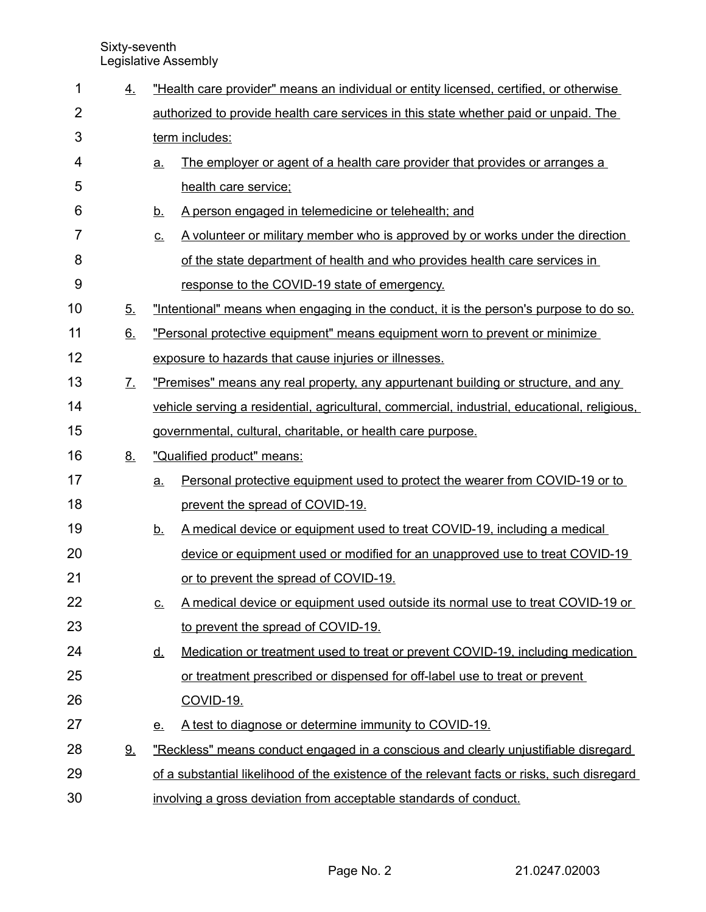| $\mathbf 1$    | 4.                | "Health care provider" means an individual or entity licensed, certified, or otherwise |                                                                                              |  |  |  |  |  |
|----------------|-------------------|----------------------------------------------------------------------------------------|----------------------------------------------------------------------------------------------|--|--|--|--|--|
| $\overline{2}$ |                   | authorized to provide health care services in this state whether paid or unpaid. The   |                                                                                              |  |  |  |  |  |
| 3              |                   | term includes:                                                                         |                                                                                              |  |  |  |  |  |
| 4              |                   | <u>a.</u>                                                                              | The employer or agent of a health care provider that provides or arranges a                  |  |  |  |  |  |
| 5              |                   |                                                                                        | health care service:                                                                         |  |  |  |  |  |
| 6              |                   | <u>b.</u>                                                                              | A person engaged in telemedicine or telehealth; and                                          |  |  |  |  |  |
| 7              |                   | <u>C.</u>                                                                              | A volunteer or military member who is approved by or works under the direction               |  |  |  |  |  |
| 8              |                   |                                                                                        | of the state department of health and who provides health care services in                   |  |  |  |  |  |
| 9              |                   |                                                                                        | response to the COVID-19 state of emergency.                                                 |  |  |  |  |  |
| 10             | 5 <sub>1</sub>    | "Intentional" means when engaging in the conduct, it is the person's purpose to do so. |                                                                                              |  |  |  |  |  |
| 11             | 6.                | "Personal protective equipment" means equipment worn to prevent or minimize            |                                                                                              |  |  |  |  |  |
| 12             |                   |                                                                                        | exposure to hazards that cause injuries or illnesses.                                        |  |  |  |  |  |
| 13             | $\underline{7}$ . | "Premises" means any real property, any appurtenant building or structure, and any     |                                                                                              |  |  |  |  |  |
| 14             |                   |                                                                                        | vehicle serving a residential, agricultural, commercial, industrial, educational, religious, |  |  |  |  |  |
| 15             |                   |                                                                                        | governmental, cultural, charitable, or health care purpose.                                  |  |  |  |  |  |
| 16             | 8.                | "Qualified product" means:                                                             |                                                                                              |  |  |  |  |  |
| 17             |                   |                                                                                        |                                                                                              |  |  |  |  |  |
|                |                   | <u>a.</u>                                                                              | <u>Personal protective equipment used to protect the wearer from COVID-19 or to</u>          |  |  |  |  |  |
| 18             |                   |                                                                                        | prevent the spread of COVID-19.                                                              |  |  |  |  |  |
| 19             |                   | <u>b.</u>                                                                              | A medical device or equipment used to treat COVID-19, including a medical                    |  |  |  |  |  |
| 20             |                   |                                                                                        | device or equipment used or modified for an unapproved use to treat COVID-19                 |  |  |  |  |  |
| 21             |                   |                                                                                        | or to prevent the spread of COVID-19.                                                        |  |  |  |  |  |
| 22             |                   | <u>c.</u>                                                                              | A medical device or equipment used outside its normal use to treat COVID-19 or               |  |  |  |  |  |
| 23             |                   |                                                                                        | to prevent the spread of COVID-19.                                                           |  |  |  |  |  |
| 24             |                   | <u>d.</u>                                                                              | Medication or treatment used to treat or prevent COVID-19, including medication              |  |  |  |  |  |
| 25             |                   |                                                                                        | or treatment prescribed or dispensed for off-label use to treat or prevent                   |  |  |  |  |  |
| 26             |                   |                                                                                        | <b>COVID-19.</b>                                                                             |  |  |  |  |  |
| 27             |                   | <u>e.</u>                                                                              | A test to diagnose or determine immunity to COVID-19.                                        |  |  |  |  |  |
| 28             | <u>9.</u>         |                                                                                        | "Reckless" means conduct engaged in a conscious and clearly unjustifiable disregard          |  |  |  |  |  |
| 29             |                   |                                                                                        | of a substantial likelihood of the existence of the relevant facts or risks, such disregard  |  |  |  |  |  |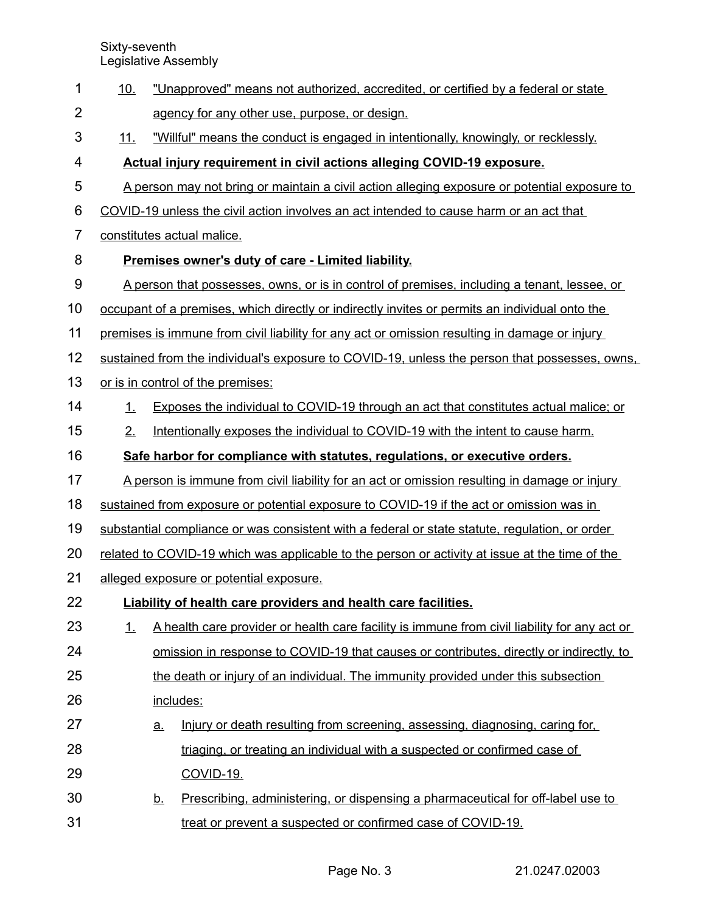| 1              | <u>10.</u>                                                                                     |                                                                                             | "Unapproved" means not authorized, accredited, or certified by a federal or state              |  |  |  |  |  |  |
|----------------|------------------------------------------------------------------------------------------------|---------------------------------------------------------------------------------------------|------------------------------------------------------------------------------------------------|--|--|--|--|--|--|
| $\overline{2}$ |                                                                                                |                                                                                             | agency for any other use, purpose, or design.                                                  |  |  |  |  |  |  |
| 3              | <u>11.</u>                                                                                     |                                                                                             | "Willful" means the conduct is engaged in intentionally, knowingly, or recklessly.             |  |  |  |  |  |  |
| 4              | Actual injury requirement in civil actions alleging COVID-19 exposure.                         |                                                                                             |                                                                                                |  |  |  |  |  |  |
| 5              | A person may not bring or maintain a civil action alleging exposure or potential exposure to   |                                                                                             |                                                                                                |  |  |  |  |  |  |
| 6              | COVID-19 unless the civil action involves an act intended to cause harm or an act that         |                                                                                             |                                                                                                |  |  |  |  |  |  |
| $\overline{7}$ | constitutes actual malice.                                                                     |                                                                                             |                                                                                                |  |  |  |  |  |  |
| 8              |                                                                                                | Premises owner's duty of care - Limited liability.                                          |                                                                                                |  |  |  |  |  |  |
| 9              |                                                                                                | A person that possesses, owns, or is in control of premises, including a tenant, lessee, or |                                                                                                |  |  |  |  |  |  |
| 10             | occupant of a premises, which directly or indirectly invites or permits an individual onto the |                                                                                             |                                                                                                |  |  |  |  |  |  |
| 11             | premises is immune from civil liability for any act or omission resulting in damage or injury  |                                                                                             |                                                                                                |  |  |  |  |  |  |
| 12             | sustained from the individual's exposure to COVID-19, unless the person that possesses, owns,  |                                                                                             |                                                                                                |  |  |  |  |  |  |
| 13             | or is in control of the premises:                                                              |                                                                                             |                                                                                                |  |  |  |  |  |  |
| 14             | 1.                                                                                             |                                                                                             | Exposes the individual to COVID-19 through an act that constitutes actual malice; or           |  |  |  |  |  |  |
| 15             | 2.                                                                                             |                                                                                             | Intentionally exposes the individual to COVID-19 with the intent to cause harm.                |  |  |  |  |  |  |
| 16             |                                                                                                |                                                                                             | Safe harbor for compliance with statutes, regulations, or executive orders.                    |  |  |  |  |  |  |
| 17             |                                                                                                |                                                                                             | A person is immune from civil liability for an act or omission resulting in damage or injury   |  |  |  |  |  |  |
| 18             |                                                                                                |                                                                                             | sustained from exposure or potential exposure to COVID-19 if the act or omission was in        |  |  |  |  |  |  |
| 19             |                                                                                                |                                                                                             | substantial compliance or was consistent with a federal or state statute, regulation, or order |  |  |  |  |  |  |
| 20             | related to COVID-19 which was applicable to the person or activity at issue at the time of the |                                                                                             |                                                                                                |  |  |  |  |  |  |
| 21             | alleged exposure or potential exposure.                                                        |                                                                                             |                                                                                                |  |  |  |  |  |  |
| 22             |                                                                                                |                                                                                             | Liability of health care providers and health care facilities.                                 |  |  |  |  |  |  |
| 23             | 1.                                                                                             |                                                                                             | A health care provider or health care facility is immune from civil liability for any act or   |  |  |  |  |  |  |
| 24             |                                                                                                |                                                                                             | omission in response to COVID-19 that causes or contributes, directly or indirectly, to        |  |  |  |  |  |  |
| 25             |                                                                                                |                                                                                             | the death or injury of an individual. The immunity provided under this subsection              |  |  |  |  |  |  |
| 26             |                                                                                                | includes:                                                                                   |                                                                                                |  |  |  |  |  |  |
| 27             |                                                                                                | <u>a.</u>                                                                                   | Injury or death resulting from screening, assessing, diagnosing, caring for,                   |  |  |  |  |  |  |
| 28             |                                                                                                |                                                                                             | triaging, or treating an individual with a suspected or confirmed case of                      |  |  |  |  |  |  |
| 29             |                                                                                                |                                                                                             | <b>COVID-19.</b>                                                                               |  |  |  |  |  |  |
| 30             |                                                                                                | <u>b.</u>                                                                                   | Prescribing, administering, or dispensing a pharmaceutical for off-label use to                |  |  |  |  |  |  |
| 31             |                                                                                                |                                                                                             | treat or prevent a suspected or confirmed case of COVID-19.                                    |  |  |  |  |  |  |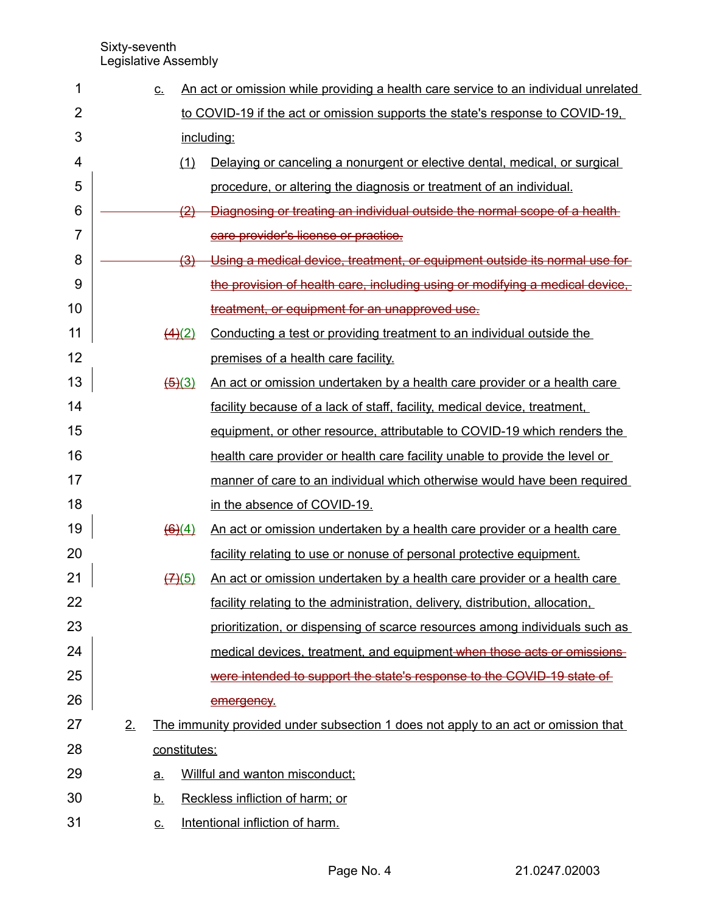| 1              |    | <u>C.</u>                                      | An act or omission while providing a health care service to an individual unrelated |  |  |  |  |  |  |
|----------------|----|------------------------------------------------|-------------------------------------------------------------------------------------|--|--|--|--|--|--|
| $\overline{2}$ |    |                                                | to COVID-19 if the act or omission supports the state's response to COVID-19,       |  |  |  |  |  |  |
| 3              |    | including:                                     |                                                                                     |  |  |  |  |  |  |
| 4              |    | (1)                                            | Delaying or canceling a nonurgent or elective dental, medical, or surgical          |  |  |  |  |  |  |
| 5              |    |                                                | procedure, or altering the diagnosis or treatment of an individual.                 |  |  |  |  |  |  |
| 6              |    | $\langle 2 \rangle$                            | Diagnosing or treating an individual outside the normal scope of a health           |  |  |  |  |  |  |
| 7              |    |                                                | care provider's license or practice.                                                |  |  |  |  |  |  |
| 8              |    | <u>(3)</u>                                     | Using a medical device, treatment, or equipment outside its normal use for          |  |  |  |  |  |  |
| 9              |    |                                                | the provision of health care, including using or modifying a medical device,        |  |  |  |  |  |  |
| 10             |    |                                                | treatment, or equipment for an unapproved use.                                      |  |  |  |  |  |  |
| 11             |    | $\left(\frac{4}{2}\right)$                     | Conducting a test or providing treatment to an individual outside the               |  |  |  |  |  |  |
| 12             |    |                                                | premises of a health care facility.                                                 |  |  |  |  |  |  |
| 13             |    | $\left(\frac{5}{3}\right)$                     | An act or omission undertaken by a health care provider or a health care            |  |  |  |  |  |  |
| 14             |    |                                                | facility because of a lack of staff, facility, medical device, treatment,           |  |  |  |  |  |  |
| 15             |    |                                                | equipment, or other resource, attributable to COVID-19 which renders the            |  |  |  |  |  |  |
| 16             |    |                                                | health care provider or health care facility unable to provide the level or         |  |  |  |  |  |  |
| 17             |    |                                                | manner of care to an individual which otherwise would have been required            |  |  |  |  |  |  |
| 18             |    |                                                | in the absence of COVID-19.                                                         |  |  |  |  |  |  |
| 19             |    | $\left(\frac{6}{6}\right)(4)$                  | An act or omission undertaken by a health care provider or a health care            |  |  |  |  |  |  |
| 20             |    |                                                | facility relating to use or nonuse of personal protective equipment.                |  |  |  |  |  |  |
| 21             |    | $\left(\frac{\mathcal{A}}{\mathcal{A}}\right)$ | An act or omission undertaken by a health care provider or a health care            |  |  |  |  |  |  |
| 22             |    |                                                | facility relating to the administration, delivery, distribution, allocation,        |  |  |  |  |  |  |
| 23             |    |                                                | prioritization, or dispensing of scarce resources among individuals such as         |  |  |  |  |  |  |
| 24             |    |                                                | medical devices, treatment, and equipment when those acts or omissions              |  |  |  |  |  |  |
| 25             |    |                                                | were intended to support the state's response to the COVID-19 state of              |  |  |  |  |  |  |
| 26             |    |                                                | emergency.                                                                          |  |  |  |  |  |  |
| 27             | 2. |                                                | The immunity provided under subsection 1 does not apply to an act or omission that  |  |  |  |  |  |  |
| 28             |    | constitutes:                                   |                                                                                     |  |  |  |  |  |  |
| 29             |    | a.                                             | Willful and wanton misconduct;                                                      |  |  |  |  |  |  |
| 30             |    | <u>b.</u>                                      | Reckless infliction of harm; or                                                     |  |  |  |  |  |  |
| 31             |    | <u>c.</u>                                      | Intentional infliction of harm.                                                     |  |  |  |  |  |  |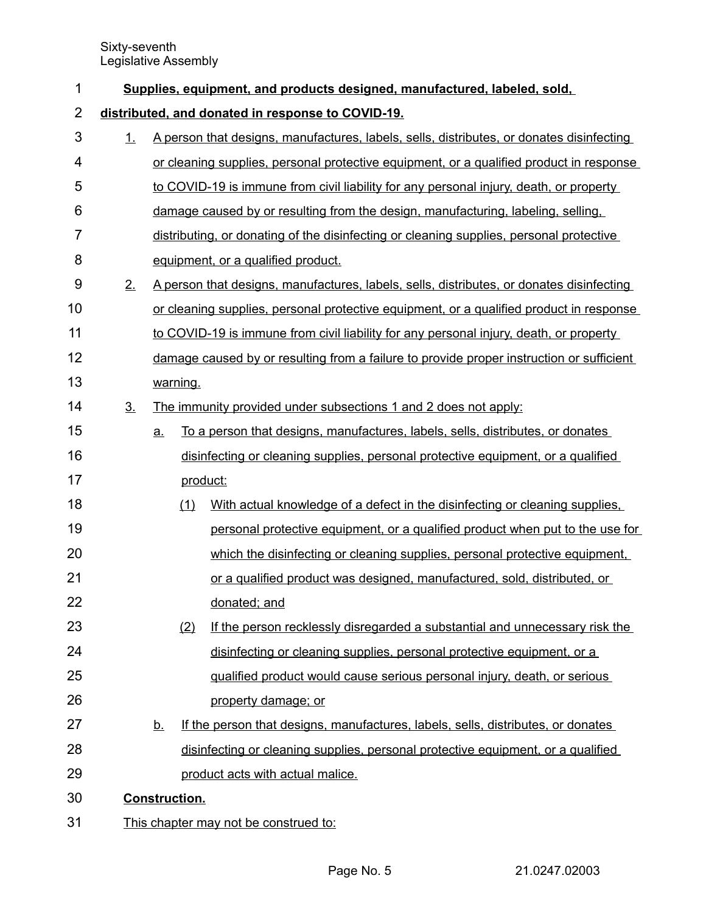| 1              | Supplies, equipment, and products designed, manufactured, labeled, sold, |                                                                                          |                                                                                          |                                                                                          |  |  |  |  |  |
|----------------|--------------------------------------------------------------------------|------------------------------------------------------------------------------------------|------------------------------------------------------------------------------------------|------------------------------------------------------------------------------------------|--|--|--|--|--|
| $\overline{2}$ | distributed, and donated in response to COVID-19.                        |                                                                                          |                                                                                          |                                                                                          |  |  |  |  |  |
| 3              | 1.                                                                       | A person that designs, manufactures, labels, sells, distributes, or donates disinfecting |                                                                                          |                                                                                          |  |  |  |  |  |
| 4              |                                                                          |                                                                                          |                                                                                          | or cleaning supplies, personal protective equipment, or a qualified product in response  |  |  |  |  |  |
| 5              |                                                                          | to COVID-19 is immune from civil liability for any personal injury, death, or property   |                                                                                          |                                                                                          |  |  |  |  |  |
| 6              |                                                                          | damage caused by or resulting from the design, manufacturing, labeling, selling,         |                                                                                          |                                                                                          |  |  |  |  |  |
| $\overline{7}$ |                                                                          |                                                                                          |                                                                                          | distributing, or donating of the disinfecting or cleaning supplies, personal protective  |  |  |  |  |  |
| 8              |                                                                          |                                                                                          |                                                                                          | equipment, or a qualified product.                                                       |  |  |  |  |  |
| 9              | 2.                                                                       |                                                                                          | A person that designs, manufactures, labels, sells, distributes, or donates disinfecting |                                                                                          |  |  |  |  |  |
| 10             |                                                                          |                                                                                          |                                                                                          | or cleaning supplies, personal protective equipment, or a qualified product in response  |  |  |  |  |  |
| 11             |                                                                          |                                                                                          |                                                                                          | to COVID-19 is immune from civil liability for any personal injury, death, or property   |  |  |  |  |  |
| 12             |                                                                          |                                                                                          |                                                                                          | damage caused by or resulting from a failure to provide proper instruction or sufficient |  |  |  |  |  |
| 13             |                                                                          |                                                                                          | warning.                                                                                 |                                                                                          |  |  |  |  |  |
| 14             | 3 <sub>1</sub>                                                           |                                                                                          |                                                                                          | The immunity provided under subsections 1 and 2 does not apply:                          |  |  |  |  |  |
| 15             |                                                                          | a.                                                                                       |                                                                                          | To a person that designs, manufactures, labels, sells, distributes, or donates           |  |  |  |  |  |
| 16             |                                                                          |                                                                                          |                                                                                          | disinfecting or cleaning supplies, personal protective equipment, or a qualified         |  |  |  |  |  |
| 17             |                                                                          |                                                                                          | product:                                                                                 |                                                                                          |  |  |  |  |  |
| 18             |                                                                          |                                                                                          | (1)                                                                                      | With actual knowledge of a defect in the disinfecting or cleaning supplies.              |  |  |  |  |  |
| 19             |                                                                          |                                                                                          |                                                                                          | personal protective equipment, or a qualified product when put to the use for            |  |  |  |  |  |
| 20             |                                                                          |                                                                                          |                                                                                          | which the disinfecting or cleaning supplies, personal protective equipment,              |  |  |  |  |  |
| 21             |                                                                          |                                                                                          |                                                                                          | or a qualified product was designed, manufactured, sold, distributed, or                 |  |  |  |  |  |
| 22             |                                                                          |                                                                                          |                                                                                          | donated; and                                                                             |  |  |  |  |  |
| 23             |                                                                          |                                                                                          | (2)                                                                                      | If the person recklessly disregarded a substantial and unnecessary risk the              |  |  |  |  |  |
| 24             |                                                                          |                                                                                          |                                                                                          | disinfecting or cleaning supplies, personal protective equipment, or a                   |  |  |  |  |  |
| 25             |                                                                          |                                                                                          |                                                                                          | qualified product would cause serious personal injury, death, or serious                 |  |  |  |  |  |
| 26             |                                                                          |                                                                                          |                                                                                          | property damage; or                                                                      |  |  |  |  |  |
| 27             |                                                                          | <u>b.</u>                                                                                |                                                                                          | If the person that designs, manufactures, labels, sells, distributes, or donates         |  |  |  |  |  |
| 28             |                                                                          |                                                                                          |                                                                                          | disinfecting or cleaning supplies, personal protective equipment, or a qualified         |  |  |  |  |  |
| 29             |                                                                          |                                                                                          |                                                                                          | product acts with actual malice.                                                         |  |  |  |  |  |
| 30             |                                                                          |                                                                                          | <b>Construction.</b>                                                                     |                                                                                          |  |  |  |  |  |
| 31             |                                                                          | This chapter may not be construed to:                                                    |                                                                                          |                                                                                          |  |  |  |  |  |